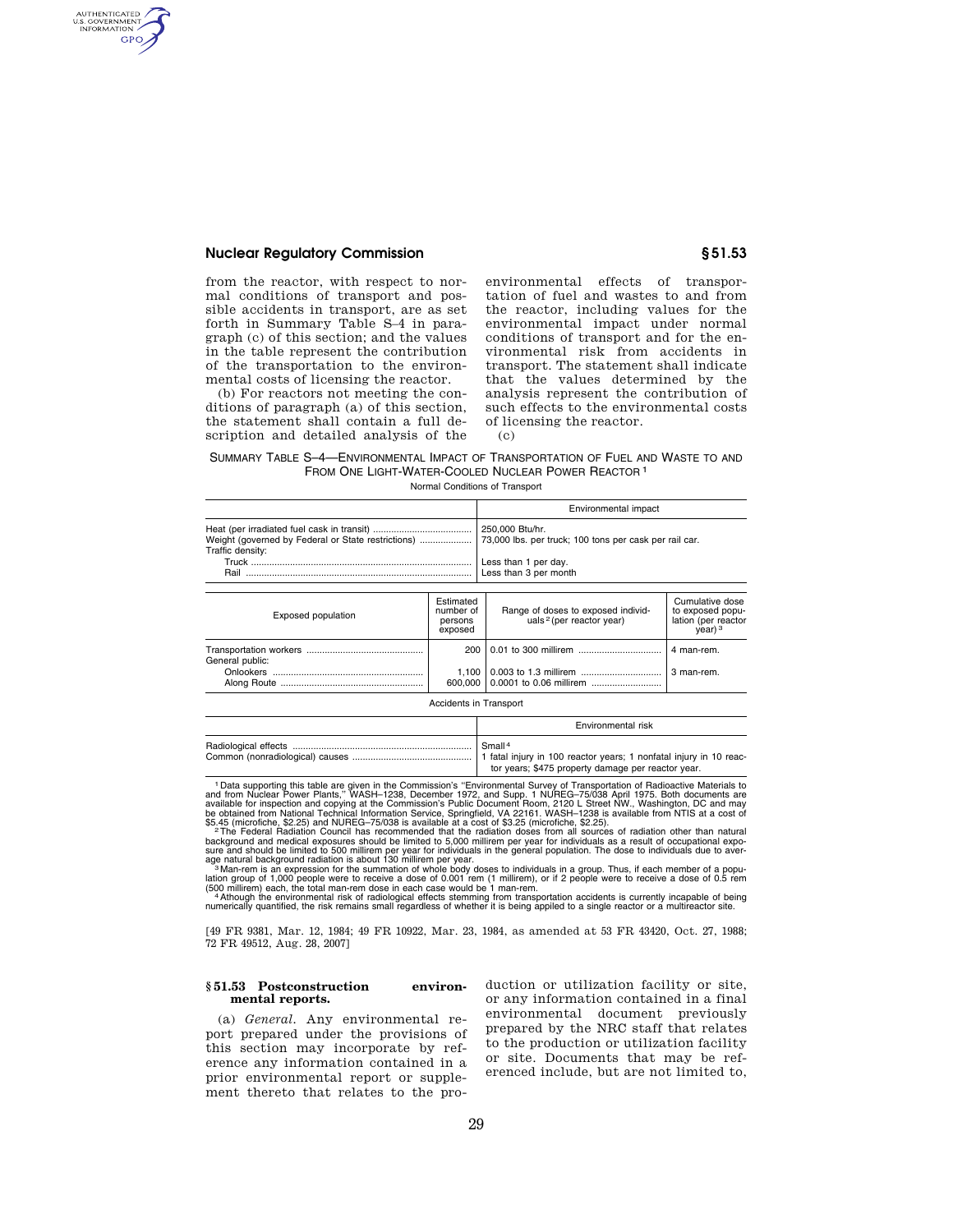## **Nuclear Regulatory Commission § 51.53**

AUTHENTICATED<br>U.S. GOVERNMENT<br>INFORMATION **GPO** 

> from the reactor, with respect to normal conditions of transport and possible accidents in transport, are as set forth in Summary Table S–4 in paragraph (c) of this section; and the values in the table represent the contribution of the transportation to the environmental costs of licensing the reactor.

> (b) For reactors not meeting the conditions of paragraph (a) of this section, the statement shall contain a full description and detailed analysis of the

environmental effects of transportation of fuel and wastes to and from the reactor, including values for the environmental impact under normal conditions of transport and for the environmental risk from accidents in transport. The statement shall indicate that the values determined by the analysis represent the contribution of such effects to the environmental costs of licensing the reactor. (c)

# SUMMARY TABLE S–4—ENVIRONMENTAL IMPACT OF TRANSPORTATION OF FUEL AND WASTE TO AND FROM ONE LIGHT-WATER-COOLED NUCLEAR POWER REACTOR 1

Normal Conditions of Transport

|                                                                        |                                              | Environmental impact                                                                                                       |                                                                             |
|------------------------------------------------------------------------|----------------------------------------------|----------------------------------------------------------------------------------------------------------------------------|-----------------------------------------------------------------------------|
| Weight (governed by Federal or State restrictions)<br>Traffic density: |                                              | 250,000 Btu/hr.<br>73,000 lbs. per truck; 100 tons per cask per rail car.<br>Less than 1 per day.<br>Less than 3 per month |                                                                             |
| <b>Exposed population</b>                                              | Estimated<br>number of<br>persons<br>exposed | Range of doses to exposed individ-<br>uals <sup>2</sup> (per reactor year)                                                 | Cumulative dose<br>to exposed popu-<br>lation (per reactor<br>$\frac{1}{2}$ |
| General public:                                                        | 200                                          |                                                                                                                            | 4 man-rem.                                                                  |
|                                                                        | $1.100$ $\vert$<br>600,000                   |                                                                                                                            | 3 man-rem.                                                                  |

Accidents in Transport

| Environmental risk                                 |
|----------------------------------------------------|
| Small <sup>4</sup>                                 |
| tor years; \$475 property damage per reactor year. |

<sup>1</sup> Data supporting this table are given in the Commission's "Environmental Survey of Transportation of Radioactive Materials to<br>and from Nuclear Power Plants," WASH-1238, December 1972, and Supp. 1 NUREG-75/038 April 1975

\$5.45 (microfiche, \$2.25) and NUREG-75/038 is available at a cost of \$3.25 (microfiche, \$2.25).<br><sup>2</sup> The Federal Radiation Council has recommended that the radiation doses from all sources of radiation other than natural<br>ba

[49 FR 9381, Mar. 12, 1984; 49 FR 10922, Mar. 23, 1984, as amended at 53 FR 43420, Oct. 27, 1988; 72 FR 49512, Aug. 28, 2007]

#### **§ 51.53 Postconstruction environmental reports.**

(a) *General.* Any environmental report prepared under the provisions of this section may incorporate by reference any information contained in a prior environmental report or supplement thereto that relates to the pro-

duction or utilization facility or site, or any information contained in a final environmental document previously prepared by the NRC staff that relates to the production or utilization facility or site. Documents that may be referenced include, but are not limited to,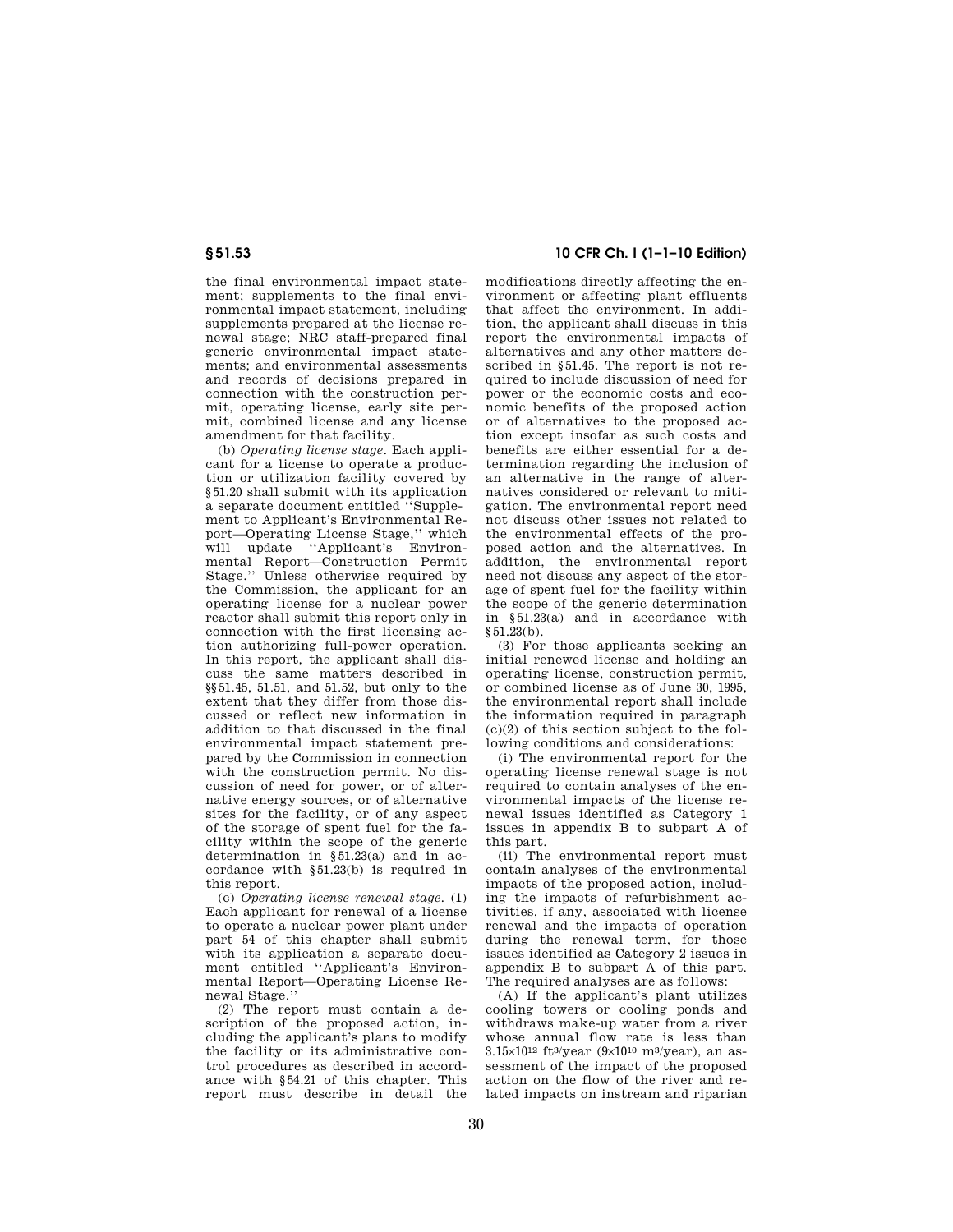the final environmental impact statement; supplements to the final environmental impact statement, including supplements prepared at the license renewal stage; NRC staff-prepared final generic environmental impact statements; and environmental assessments and records of decisions prepared in connection with the construction permit, operating license, early site permit, combined license and any license amendment for that facility.

(b) *Operating license stage.* Each applicant for a license to operate a production or utilization facility covered by §51.20 shall submit with its application a separate document entitled ''Supplement to Applicant's Environmental Report—Operating License Stage,'' which will update "Applicant's Environmental Report—Construction Permit Stage.'' Unless otherwise required by the Commission, the applicant for an operating license for a nuclear power reactor shall submit this report only in connection with the first licensing action authorizing full-power operation. In this report, the applicant shall discuss the same matters described in §§51.45, 51.51, and 51.52, but only to the extent that they differ from those discussed or reflect new information in addition to that discussed in the final environmental impact statement prepared by the Commission in connection with the construction permit. No discussion of need for power, or of alternative energy sources, or of alternative sites for the facility, or of any aspect of the storage of spent fuel for the facility within the scope of the generic determination in §51.23(a) and in accordance with §51.23(b) is required in this report.

(c) *Operating license renewal stage.* (1) Each applicant for renewal of a license to operate a nuclear power plant under part 54 of this chapter shall submit with its application a separate document entitled ''Applicant's Environmental Report—Operating License Renewal Stage.''

(2) The report must contain a description of the proposed action, including the applicant's plans to modify the facility or its administrative control procedures as described in accordance with §54.21 of this chapter. This report must describe in detail the

**§ 51.53 10 CFR Ch. I (1–1–10 Edition)** 

modifications directly affecting the environment or affecting plant effluents that affect the environment. In addition, the applicant shall discuss in this report the environmental impacts of alternatives and any other matters described in §51.45. The report is not required to include discussion of need for power or the economic costs and economic benefits of the proposed action or of alternatives to the proposed action except insofar as such costs and benefits are either essential for a determination regarding the inclusion of an alternative in the range of alternatives considered or relevant to mitigation. The environmental report need not discuss other issues not related to the environmental effects of the proposed action and the alternatives. In addition, the environmental report need not discuss any aspect of the storage of spent fuel for the facility within the scope of the generic determination in §51.23(a) and in accordance with  $$51.23(b)$ .

(3) For those applicants seeking an initial renewed license and holding an operating license, construction permit, or combined license as of June 30, 1995, the environmental report shall include the information required in paragraph  $(c)(2)$  of this section subject to the following conditions and considerations:

(i) The environmental report for the operating license renewal stage is not required to contain analyses of the environmental impacts of the license renewal issues identified as Category 1 issues in appendix B to subpart A of this part.

(ii) The environmental report must contain analyses of the environmental impacts of the proposed action, including the impacts of refurbishment activities, if any, associated with license renewal and the impacts of operation during the renewal term, for those issues identified as Category 2 issues in appendix B to subpart A of this part. The required analyses are as follows:

(A) If the applicant's plant utilizes cooling towers or cooling ponds and withdraws make-up water from a river whose annual flow rate is less than 3.15×10<sup>12</sup> ft<sup>3</sup>/year (9×10<sup>10</sup> m<sup>3</sup>/year), an assessment of the impact of the proposed action on the flow of the river and related impacts on instream and riparian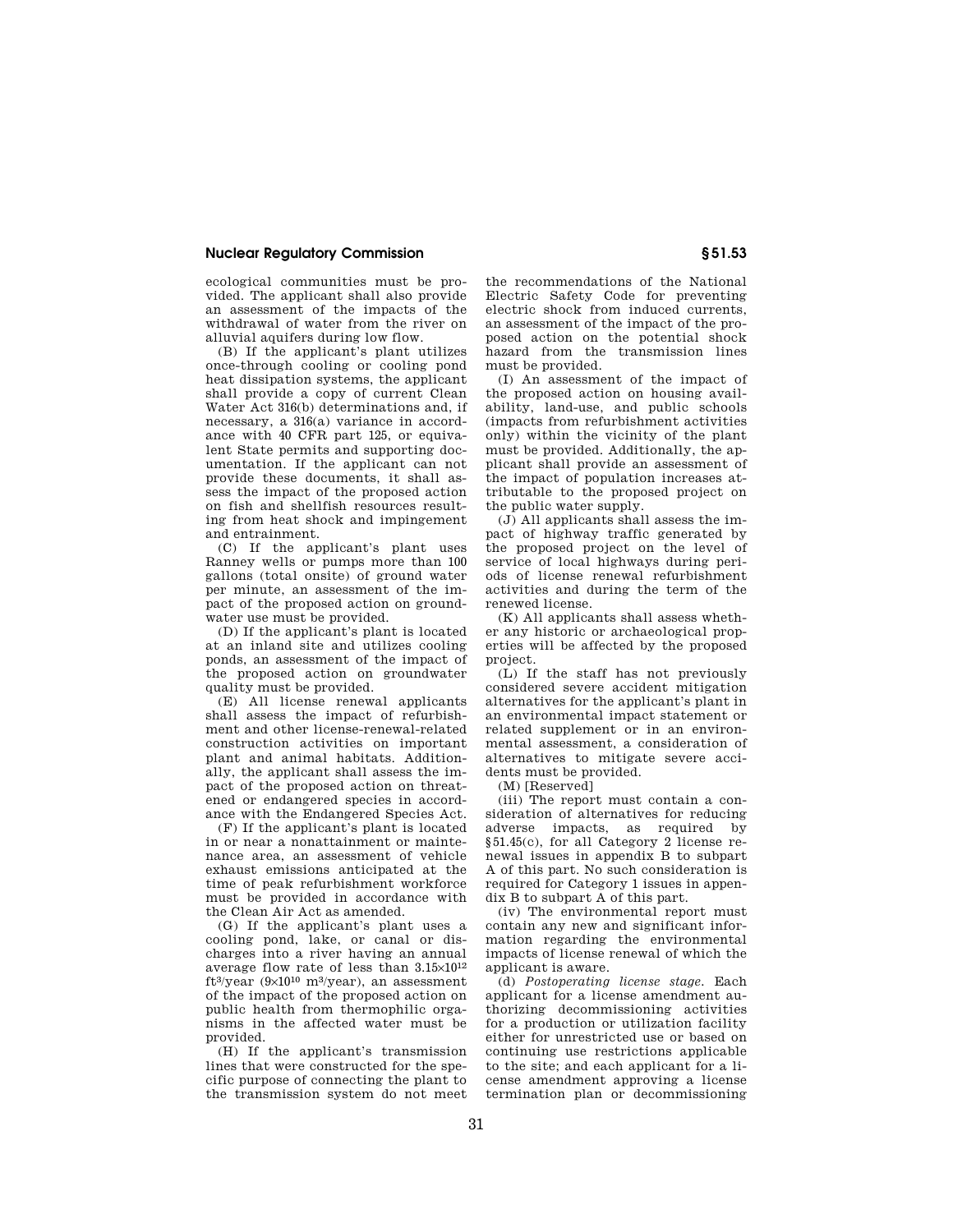### **Nuclear Regulatory Commission § 51.53**

ecological communities must be provided. The applicant shall also provide an assessment of the impacts of the withdrawal of water from the river on alluvial aquifers during low flow.

(B) If the applicant's plant utilizes once-through cooling or cooling pond heat dissipation systems, the applicant shall provide a copy of current Clean Water Act 316(b) determinations and, if necessary, a 316(a) variance in accordance with 40 CFR part 125, or equivalent State permits and supporting documentation. If the applicant can not provide these documents, it shall assess the impact of the proposed action on fish and shellfish resources resulting from heat shock and impingement and entrainment.

(C) If the applicant's plant uses Ranney wells or pumps more than 100 gallons (total onsite) of ground water per minute, an assessment of the impact of the proposed action on groundwater use must be provided.

(D) If the applicant's plant is located at an inland site and utilizes cooling ponds, an assessment of the impact of the proposed action on groundwater quality must be provided.

(E) All license renewal applicants shall assess the impact of refurbishment and other license-renewal-related construction activities on important plant and animal habitats. Additionally, the applicant shall assess the impact of the proposed action on threatened or endangered species in accordance with the Endangered Species Act.

(F) If the applicant's plant is located in or near a nonattainment or maintenance area, an assessment of vehicle exhaust emissions anticipated at the time of peak refurbishment workforce must be provided in accordance with the Clean Air Act as amended.

(G) If the applicant's plant uses a cooling pond, lake, or canal or discharges into a river having an annual average flow rate of less than 3.15×1012 ft3/year (9×1010 m3/year), an assessment of the impact of the proposed action on public health from thermophilic organisms in the affected water must be provided.

(H) If the applicant's transmission lines that were constructed for the specific purpose of connecting the plant to the transmission system do not meet

the recommendations of the National Electric Safety Code for preventing electric shock from induced currents, an assessment of the impact of the proposed action on the potential shock hazard from the transmission lines must be provided.

(I) An assessment of the impact of the proposed action on housing availability, land-use, and public schools (impacts from refurbishment activities only) within the vicinity of the plant must be provided. Additionally, the applicant shall provide an assessment of the impact of population increases attributable to the proposed project on the public water supply.

(J) All applicants shall assess the impact of highway traffic generated by the proposed project on the level of service of local highways during periods of license renewal refurbishment activities and during the term of the renewed license.

(K) All applicants shall assess whether any historic or archaeological properties will be affected by the proposed project.

(L) If the staff has not previously considered severe accident mitigation alternatives for the applicant's plant in an environmental impact statement or related supplement or in an environmental assessment, a consideration of alternatives to mitigate severe accidents must be provided.

(M) [Reserved]

(iii) The report must contain a consideration of alternatives for reducing adverse impacts, as required by §51.45(c), for all Category 2 license renewal issues in appendix B to subpart A of this part. No such consideration is required for Category 1 issues in appendix B to subpart A of this part.

(iv) The environmental report must contain any new and significant information regarding the environmental impacts of license renewal of which the applicant is aware.

(d) *Postoperating license stage.* Each applicant for a license amendment authorizing decommissioning activities for a production or utilization facility either for unrestricted use or based on continuing use restrictions applicable to the site; and each applicant for a license amendment approving a license termination plan or decommissioning